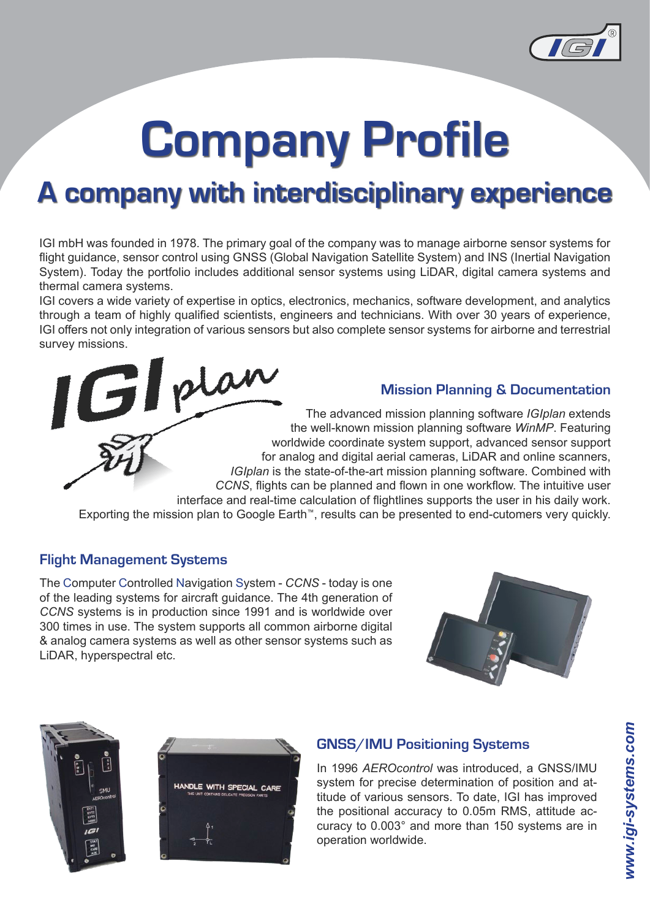

# **Company Profile**

## **A company with interdisciplinary experience**

IGI mbH was founded in 1978. The primary goal of the company was to manage airborne sensor systems for flight guidance, sensor control using GNSS (Global Navigation Satellite System) and INS (Inertial Navigation System). Today the portfolio includes additional sensor systems using LiDAR, digital camera systems and thermal camera systems.

IGI covers a wide variety of expertise in optics, electronics, mechanics, software development, and analytics through a team of highly qualified scientists, engineers and technicians. With over 30 years of experience, IGI offers not only integration of various sensors but also complete sensor systems for airborne and terrestrial survey missions.<br> $\int$  of plan

**Mission Planning & Documentation**

The advanced mission planning software *IGIplan* extends the well-known mission planning software *WinMP*. Featuring worldwide coordinate system support, advanced sensor support for analog and digital aerial cameras, LiDAR and online scanners, *IGIplan* is the state-of-the-art mission planning software. Combined with *CCNS*, flights can be planned and flown in one workflow. The intuitive user interface and real-time calculation of flightlines supports the user in his daily work.

Exporting the mission plan to Google Earth™, results can be presented to end-cutomers very quickly.

## **Flight Management Systems**

The Computer Controlled Navigation System - *CCNS* - today is one of the leading systems for aircraft guidance. The 4th generation of *CCNS* systems is in production since 1991 and is worldwide over 300 times in use. The system supports all common airborne digital & analog camera systems as well as other sensor systems such as LiDAR, hyperspectral etc.







## **GNSS/IMU Positioning Systems**

In 1996 *AEROcontrol* was introduced, a GNSS/IMU system for precise determination of position and attitude of various sensors. To date, IGI has improved the positional accuracy to 0.05m RMS, attitude accuracy to 0.003° and more than 150 systems are in operation worldwide.